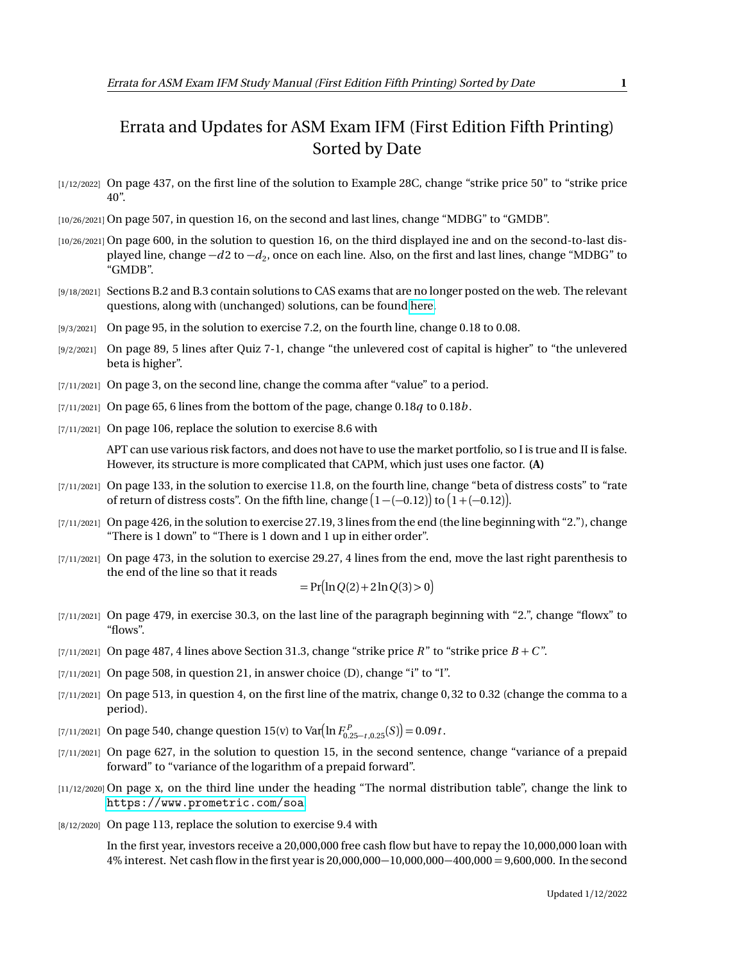## Errata and Updates for ASM Exam IFM (First Edition Fifth Printing) Sorted by Date

- [1/12/2022] On page 437, on the first line of the solution to Example 28C, change "strike price 50" to "strike price 40".
- [10/26/2021] On page 507, in question 16, on the second and last lines, change "MDBG" to "GMDB".
- [10/26/2021] On page 600, in the solution to question 16, on the third displayed ine and on the second-to-last displayed line, change  $-d2$  to  $-d_2$ , once on each line. Also, on the first and last lines, change "MDBG" to "GMDB".
- [9/18/2021] Sections B.2 and B.3 contain solutions to CAS exams that are no longer posted on the web. The relevant questions, along with (unchanged) solutions, can be found [here.](http://aceyourexams.net/errata/CASExam3forIFM.pdf)
- [9/3/2021] On page 95, in the solution to exercise 7.2, on the fourth line, change 0.18 to 0.08.
- [9/2/2021] On page 89, 5 lines after Quiz 7-1, change "the unlevered cost of capital is higher" to "the unlevered beta is higher".
- [7/11/2021] On page 3, on the second line, change the comma after "value" to a period.
- [7/11/2021] On page 65, 6 lines from the bottom of the page, change 0.18*q* to 0.18*b* .
- [7/11/2021] On page 106, replace the solution to exercise 8.6 with

APT can use various risk factors, and does not have to use the market portfolio, so I is true and II is false. However, its structure is more complicated that CAPM, which just uses one factor. **(A)**

- [7/11/2021] On page 133, in the solution to exercise 11.8, on the fourth line, change "beta of distress costs" to "rate of return of distress costs". On the fifth line, change  $\big(1-(-0.12)\big)$  to  $\big(1+(-0.12)\big)$ .
- [7/11/2021] On page 426, in the solution to exercise 27.19, 3 lines from the end (the line beginning with "2."), change "There is 1 down" to "There is 1 down and 1 up in either order".
- [7/11/2021] On page 473, in the solution to exercise 29.27, 4 lines from the end, move the last right parenthesis to the end of the line so that it reads

$$
=Pr(ln Q(2) + 2 ln Q(3) > 0)
$$

- [7/11/2021] On page 479, in exercise 30.3, on the last line of the paragraph beginning with "2.", change "flowx" to "flows".
- [7/11/2021] On page 487, 4 lines above Section 31.3, change "strike price *R*" to "strike price  $B + C$ ".
- $[7/11/2021]$  On page 508, in question 21, in answer choice (D), change "i" to "I".
- [7/11/2021] On page 513, in question 4, on the first line of the matrix, change 0, 32 to 0.32 (change the comma to a period).
- [7/11/2021] On page 540, change question 15(v) to Var $\left(\ln F_{0.25-t,0.25}^P(S)\right) = 0.09t$ .
- [7/11/2021] On page 627, in the solution to question 15, in the second sentence, change "variance of a prepaid forward" to "variance of the logarithm of a prepaid forward".
- [11/12/2020] On page x, on the third line under the heading "The normal distribution table", change the link to <https://www.prometric.com/soa>.
- [8/12/2020] On page 113, replace the solution to exercise 9.4 with

In the first year, investors receive a 20,000,000 free cash flow but have to repay the 10,000,000 loan with 4% interest. Net cash flow in the first year is 20,000,000−10,000,000−400,000 = 9,600,000. In the second